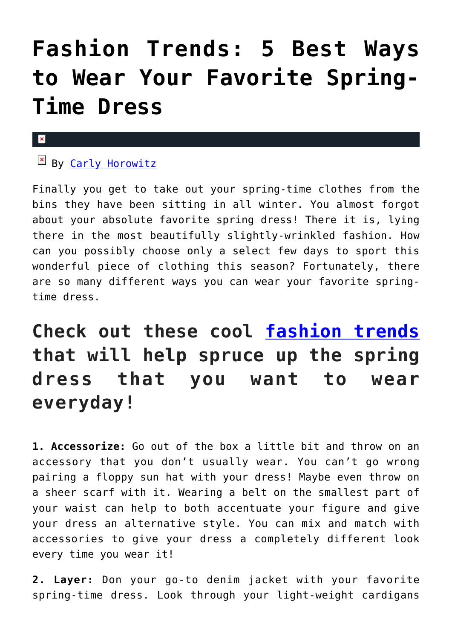# **[Fashion Trends: 5 Best Ways](https://cupidspulse.com/123299/fashion-trends-ways-wear-favorite-spring-time-dress/) [to Wear Your Favorite Spring-](https://cupidspulse.com/123299/fashion-trends-ways-wear-favorite-spring-time-dress/)[Time Dress](https://cupidspulse.com/123299/fashion-trends-ways-wear-favorite-spring-time-dress/)**

#### $\pmb{\times}$

## By [Carly Horowitz](http://cupidspulse.com/122831/carly-horowitz/)

Finally you get to take out your spring-time clothes from the bins they have been sitting in all winter. You almost forgot about your absolute favorite spring dress! There it is, lying there in the most beautifully slightly-wrinkled fashion. How can you possibly choose only a select few days to sport this wonderful piece of clothing this season? Fortunately, there are so many different ways you can wear your favorite springtime dress.

# **Check out these cool [fashion trends](http://cupidspulse.com/fashion/) that will help spruce up the spring dress that you want to wear everyday!**

**1. Accessorize:** Go out of the box a little bit and throw on an accessory that you don't usually wear. You can't go wrong pairing a floppy sun hat with your dress! Maybe even throw on a sheer scarf with it. Wearing a belt on the smallest part of your waist can help to both accentuate your figure and give your dress an alternative style. You can mix and match with accessories to give your dress a completely different look every time you wear it!

**2. Layer:** Don your go-to denim jacket with your favorite spring-time dress. Look through your light-weight cardigans